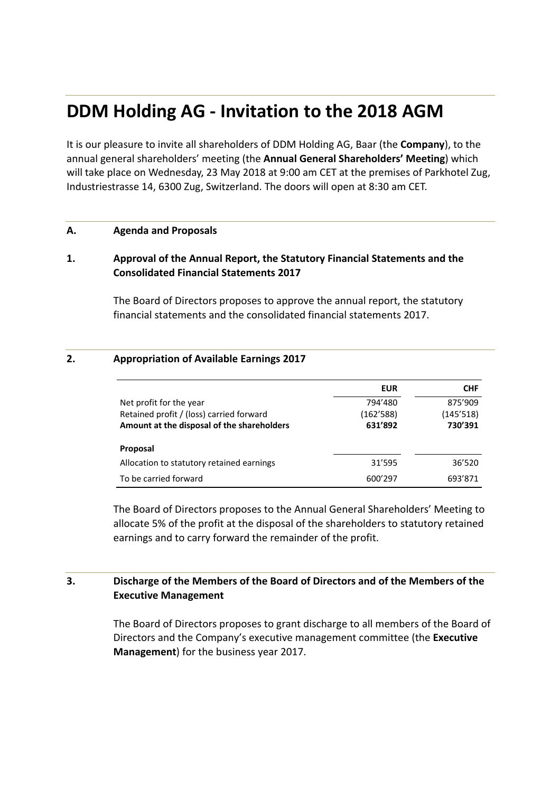# **DDM Holding AG ‐ Invitation to the 2018 AGM**

It is our pleasure to invite all shareholders of DDM Holding AG, Baar (the **Company**), to the annual general shareholders' meeting (the **Annual General Shareholders' Meeting**) which will take place on Wednesday, 23 May 2018 at 9:00 am CET at the premises of Parkhotel Zug, Industriestrasse 14, 6300 Zug, Switzerland. The doors will open at 8:30 am CET.

#### **A. Agenda and Proposals**

## **1. Approval of the Annual Report, the Statutory Financial Statements and the Consolidated Financial Statements 2017**

The Board of Directors proposes to approve the annual report, the statutory financial statements and the consolidated financial statements 2017.

#### **2. Appropriation of Available Earnings 2017**

|                                            | <b>EUR</b> | <b>CHF</b> |
|--------------------------------------------|------------|------------|
| Net profit for the year                    | 794'480    | 875'909    |
| Retained profit / (loss) carried forward   | (162'588)  | (145'518)  |
| Amount at the disposal of the shareholders | 631'892    | 730'391    |
| Proposal                                   |            |            |
| Allocation to statutory retained earnings  | 31'595     | 36'520     |
| To be carried forward                      | 600'297    | 693'871    |

The Board of Directors proposes to the Annual General Shareholders' Meeting to allocate 5% of the profit at the disposal of the shareholders to statutory retained earnings and to carry forward the remainder of the profit.

## **3. Discharge of the Members of the Board of Directors and of the Members of the Executive Management**

The Board of Directors proposes to grant discharge to all members of the Board of Directors and the Company's executive management committee (the **Executive Management**) for the business year 2017.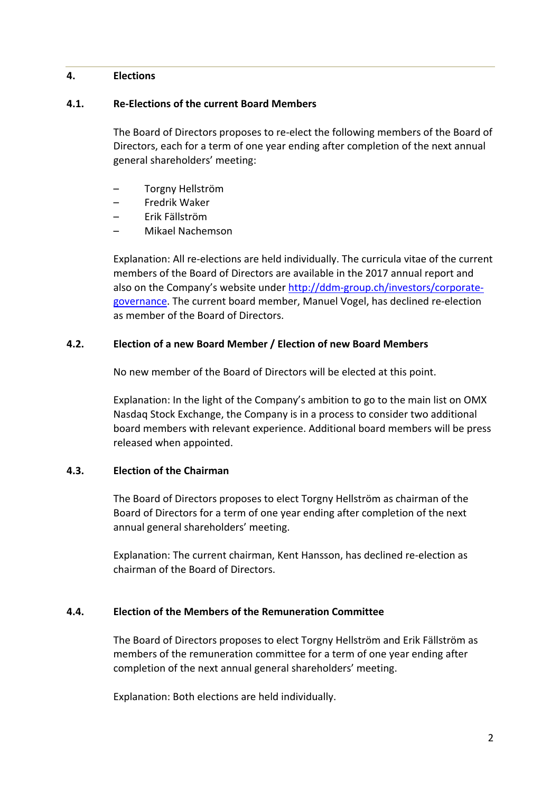## **4. Elections**

### **4.1. Re‐Elections of the current Board Members**

The Board of Directors proposes to re‐elect the following members of the Board of Directors, each for a term of one year ending after completion of the next annual general shareholders' meeting:

- Torgny Hellström
- Fredrik Waker
- Erik Fällström
- Mikael Nachemson

Explanation: All re‐elections are held individually. The curricula vitae of the current members of the Board of Directors are available in the 2017 annual report and also on the Company's website under http://ddm-group.ch/investors/corporategovernance. The current board member, Manuel Vogel, has declined re‐election as member of the Board of Directors.

## **4.2. Election of a new Board Member / Election of new Board Members**

No new member of the Board of Directors will be elected at this point.

Explanation: In the light of the Company's ambition to go to the main list on OMX Nasdaq Stock Exchange, the Company is in a process to consider two additional board members with relevant experience. Additional board members will be press released when appointed.

## **4.3. Election of the Chairman**

The Board of Directors proposes to elect Torgny Hellström as chairman of the Board of Directors for a term of one year ending after completion of the next annual general shareholders' meeting.

Explanation: The current chairman, Kent Hansson, has declined re‐election as chairman of the Board of Directors.

## **4.4. Election of the Members of the Remuneration Committee**

The Board of Directors proposes to elect Torgny Hellström and Erik Fällström as members of the remuneration committee for a term of one year ending after completion of the next annual general shareholders' meeting.

Explanation: Both elections are held individually.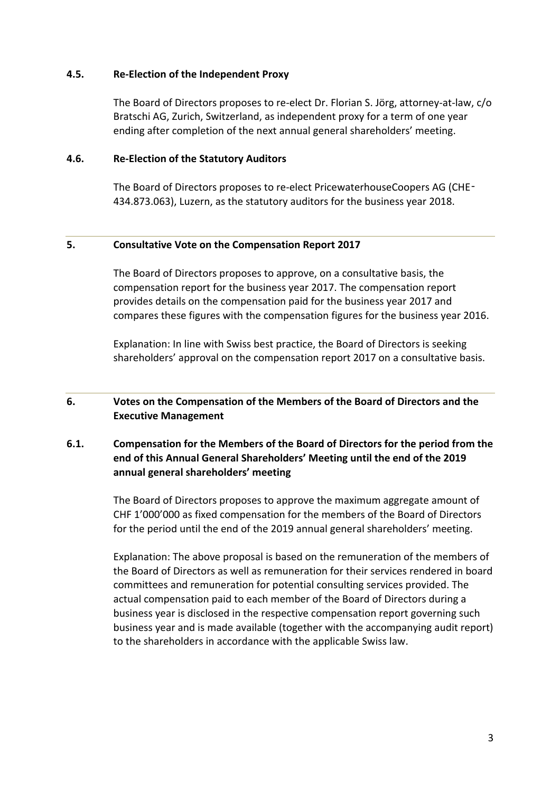## **4.5. Re‐Election of the Independent Proxy**

The Board of Directors proposes to re‐elect Dr. Florian S. Jörg, attorney‐at‐law, c/o Bratschi AG, Zurich, Switzerland, as independent proxy for a term of one year ending after completion of the next annual general shareholders' meeting.

#### **4.6. Re‐Election of the Statutory Auditors**

The Board of Directors proposes to re-elect PricewaterhouseCoopers AG (CHE-434.873.063), Luzern, as the statutory auditors for the business year 2018.

#### **5. Consultative Vote on the Compensation Report 2017**

The Board of Directors proposes to approve, on a consultative basis, the compensation report for the business year 2017. The compensation report provides details on the compensation paid for the business year 2017 and compares these figures with the compensation figures for the business year 2016.

Explanation: In line with Swiss best practice, the Board of Directors is seeking shareholders' approval on the compensation report 2017 on a consultative basis.

## **6. Votes on the Compensation of the Members of the Board of Directors and the Executive Management**

# **6.1. Compensation for the Members of the Board of Directors for the period from the end of this Annual General Shareholders' Meeting until the end of the 2019 annual general shareholders' meeting**

The Board of Directors proposes to approve the maximum aggregate amount of CHF 1'000'000 as fixed compensation for the members of the Board of Directors for the period until the end of the 2019 annual general shareholders' meeting.

Explanation: The above proposal is based on the remuneration of the members of the Board of Directors as well as remuneration for their services rendered in board committees and remuneration for potential consulting services provided. The actual compensation paid to each member of the Board of Directors during a business year is disclosed in the respective compensation report governing such business year and is made available (together with the accompanying audit report) to the shareholders in accordance with the applicable Swiss law.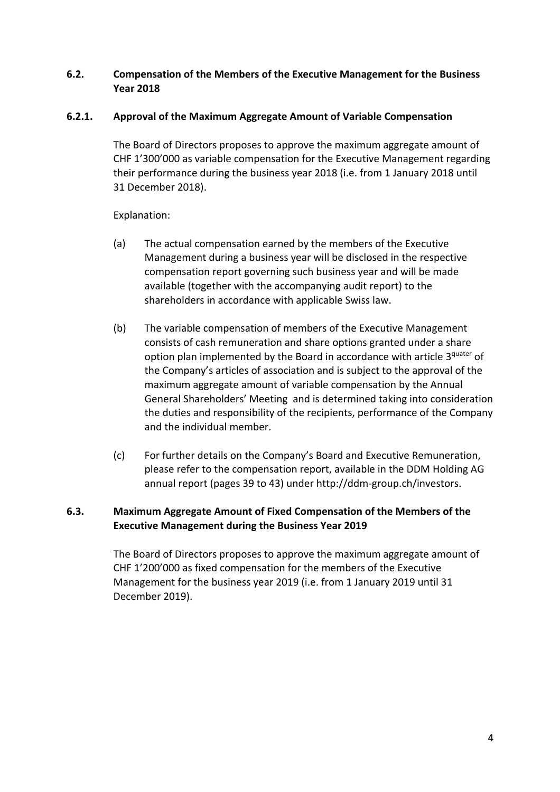# **6.2. Compensation of the Members of the Executive Management for the Business Year 2018**

# **6.2.1. Approval of the Maximum Aggregate Amount of Variable Compensation**

The Board of Directors proposes to approve the maximum aggregate amount of CHF 1'300'000 as variable compensation for the Executive Management regarding their performance during the business year 2018 (i.e. from 1 January 2018 until 31 December 2018).

## Explanation:

- (a) The actual compensation earned by the members of the Executive Management during a business year will be disclosed in the respective compensation report governing such business year and will be made available (together with the accompanying audit report) to the shareholders in accordance with applicable Swiss law.
- (b) The variable compensation of members of the Executive Management consists of cash remuneration and share options granted under a share option plan implemented by the Board in accordance with article 3quater of the Company's articles of association and is subject to the approval of the maximum aggregate amount of variable compensation by the Annual General Shareholders' Meeting and is determined taking into consideration the duties and responsibility of the recipients, performance of the Company and the individual member.
- (c) For further details on the Company's Board and Executive Remuneration, please refer to the compensation report, available in the DDM Holding AG annual report (pages 39 to 43) under http://ddm‐group.ch/investors.

# **6.3. Maximum Aggregate Amount of Fixed Compensation of the Members of the Executive Management during the Business Year 2019**

The Board of Directors proposes to approve the maximum aggregate amount of CHF 1'200'000 as fixed compensation for the members of the Executive Management for the business year 2019 (i.e. from 1 January 2019 until 31 December 2019).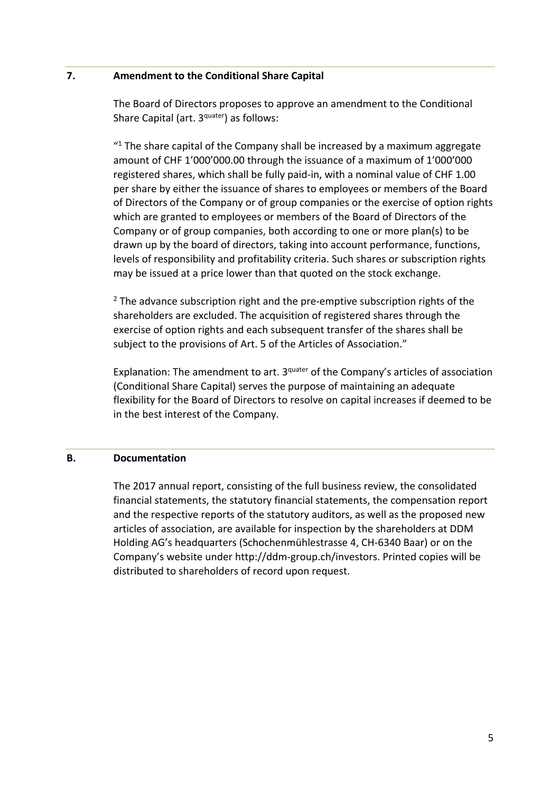## **7. Amendment to the Conditional Share Capital**

The Board of Directors proposes to approve an amendment to the Conditional Share Capital (art. 3<sup>quater</sup>) as follows:

 $"$ <sup>1</sup> The share capital of the Company shall be increased by a maximum aggregate amount of CHF 1'000'000.00 through the issuance of a maximum of 1'000'000 registered shares, which shall be fully paid‐in, with a nominal value of CHF 1.00 per share by either the issuance of shares to employees or members of the Board of Directors of the Company or of group companies or the exercise of option rights which are granted to employees or members of the Board of Directors of the Company or of group companies, both according to one or more plan(s) to be drawn up by the board of directors, taking into account performance, functions, levels of responsibility and profitability criteria. Such shares or subscription rights may be issued at a price lower than that quoted on the stock exchange.

 $2$  The advance subscription right and the pre-emptive subscription rights of the shareholders are excluded. The acquisition of registered shares through the exercise of option rights and each subsequent transfer of the shares shall be subject to the provisions of Art. 5 of the Articles of Association."

Explanation: The amendment to art. 3<sup>quater</sup> of the Company's articles of association (Conditional Share Capital) serves the purpose of maintaining an adequate flexibility for the Board of Directors to resolve on capital increases if deemed to be in the best interest of the Company.

# **B. Documentation**

The 2017 annual report, consisting of the full business review, the consolidated financial statements, the statutory financial statements, the compensation report and the respective reports of the statutory auditors, as well as the proposed new articles of association, are available for inspection by the shareholders at DDM Holding AG's headquarters (Schochenmühlestrasse 4, CH‐6340 Baar) or on the Company's website under http://ddm‐group.ch/investors. Printed copies will be distributed to shareholders of record upon request.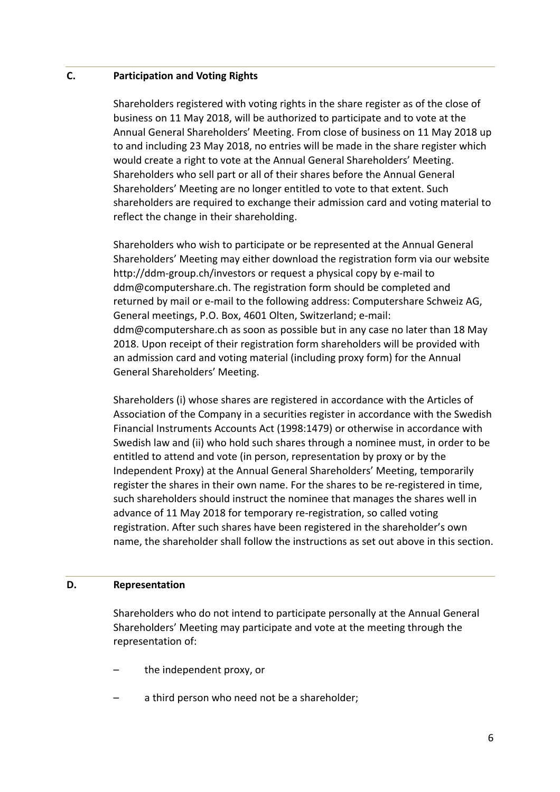#### **C. Participation and Voting Rights**

Shareholders registered with voting rights in the share register as of the close of business on 11 May 2018, will be authorized to participate and to vote at the Annual General Shareholders' Meeting. From close of business on 11 May 2018 up to and including 23 May 2018, no entries will be made in the share register which would create a right to vote at the Annual General Shareholders' Meeting. Shareholders who sell part or all of their shares before the Annual General Shareholders' Meeting are no longer entitled to vote to that extent. Such shareholders are required to exchange their admission card and voting material to reflect the change in their shareholding.

Shareholders who wish to participate or be represented at the Annual General Shareholders' Meeting may either download the registration form via our website http://ddm-group.ch/investors or request a physical copy by e-mail to ddm@computershare.ch. The registration form should be completed and returned by mail or e-mail to the following address: Computershare Schweiz AG, General meetings, P.O. Box, 4601 Olten, Switzerland; e‐mail: ddm@computershare.ch as soon as possible but in any case no later than 18 May 2018. Upon receipt of their registration form shareholders will be provided with an admission card and voting material (including proxy form) for the Annual General Shareholders' Meeting.

Shareholders (i) whose shares are registered in accordance with the Articles of Association of the Company in a securities register in accordance with the Swedish Financial Instruments Accounts Act (1998:1479) or otherwise in accordance with Swedish law and (ii) who hold such shares through a nominee must, in order to be entitled to attend and vote (in person, representation by proxy or by the Independent Proxy) at the Annual General Shareholders' Meeting, temporarily register the shares in their own name. For the shares to be re-registered in time, such shareholders should instruct the nominee that manages the shares well in advance of 11 May 2018 for temporary re‐registration, so called voting registration. After such shares have been registered in the shareholder's own name, the shareholder shall follow the instructions as set out above in this section.

#### **D. Representation**

Shareholders who do not intend to participate personally at the Annual General Shareholders' Meeting may participate and vote at the meeting through the representation of:

- the independent proxy, or
- a third person who need not be a shareholder;